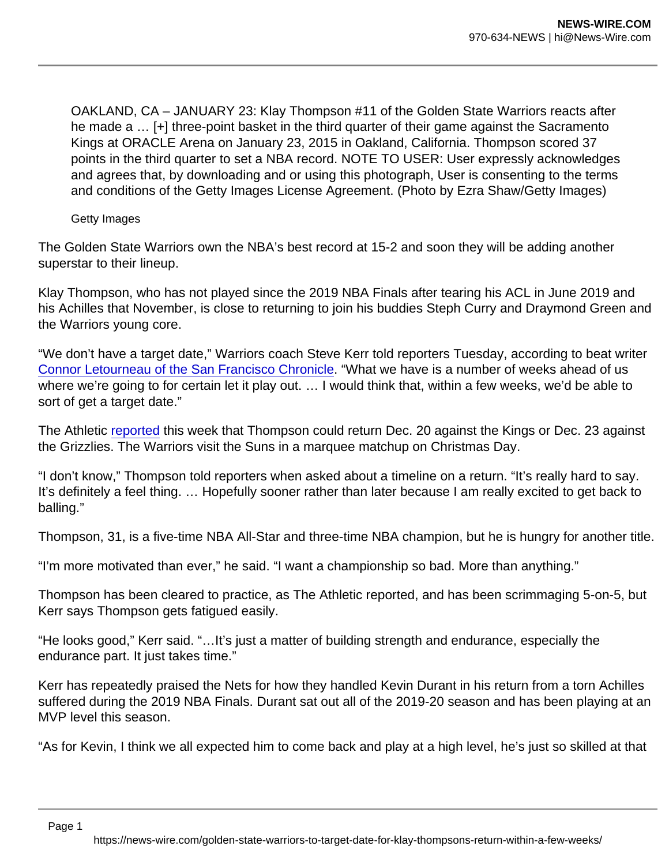OAKLAND, CA – JANUARY 23: Klay Thompson #11 of the Golden State Warriors reacts after he made a … [+] three-point basket in the third quarter of their game against the Sacramento Kings at ORACLE Arena on January 23, 2015 in Oakland, California. Thompson scored 37 points in the third quarter to set a NBA record. NOTE TO USER: User expressly acknowledges and agrees that, by downloading and or using this photograph, User is consenting to the terms and conditions of the Getty Images License Agreement. (Photo by Ezra Shaw/Getty Images)

Getty Images

The Golden State Warriors own the NBA's best record at 15-2 and soon they will be adding another superstar to their lineup.

Klay Thompson, who has not played since the 2019 NBA Finals after tearing his ACL in June 2019 and his Achilles that November, is close to returning to join his buddies Steph Curry and Draymond Green and the Warriors young core.

"We don't have a target date," Warriors coach Steve Kerr told reporters Tuesday, according to beat writer [Connor Letourneau of the San Francisco Chronicle.](https://twitter.com/Con_Chron) "What we have is a number of weeks ahead of us where we're going to for certain let it play out. … I would think that, within a few weeks, we'd be able to sort of get a target date."

The Athletic [reported](https://theathletic.com/news/warriors-klay-thompson-cleared-to-practice-fully-could-return-within-week-of-christmas-sources/iEKeYCOtl4px/) this week that Thompson could return Dec. 20 against the Kings or Dec. 23 against the Grizzlies. The Warriors visit the Suns in a marquee matchup on Christmas Day.

"I don't know," Thompson told reporters when asked about a timeline on a return. "It's really hard to say. It's definitely a feel thing. … Hopefully sooner rather than later because I am really excited to get back to balling."

Thompson, 31, is a five-time NBA All-Star and three-time NBA champion, but he is hungry for another title.

"I'm more motivated than ever," he said. "I want a championship so bad. More than anything."

Thompson has been cleared to practice, as The Athletic reported, and has been scrimmaging 5-on-5, but Kerr says Thompson gets fatigued easily.

"He looks good," Kerr said. "…It's just a matter of building strength and endurance, especially the endurance part. It just takes time."

Kerr has repeatedly praised the Nets for how they handled Kevin Durant in his return from a torn Achilles suffered during the 2019 NBA Finals. Durant sat out all of the 2019-20 season and has been playing at an MVP level this season.

"As for Kevin, I think we all expected him to come back and play at a high level, he's just so skilled at that

Page 1